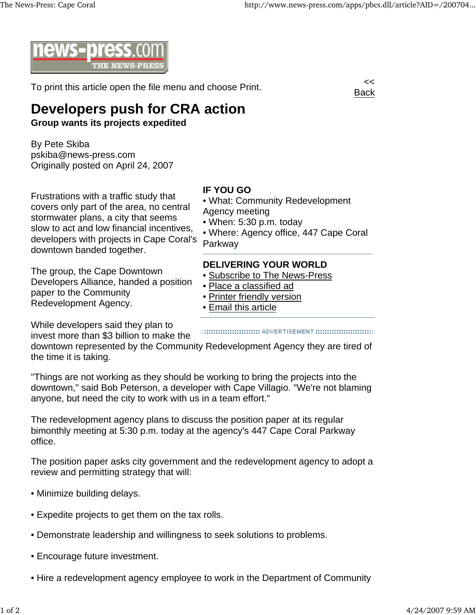

To print this article open the file menu and choose Print.



## **Developers push for CRA action**

**Group wants its projects expedited**

By Pete Skiba pskiba@news-press.com Originally posted on April 24, 2007

Frustrations with a traffic study that covers only part of the area, no central stormwater plans, a city that seems slow to act and low financial incentives, developers with projects in Cape Coral's downtown banded together.

The group, the Cape Downtown Developers Alliance, handed a position paper to the Community Redevelopment Agency.

While developers said they plan to invest more than \$3 billion to make the

• What: Community Redevelopment

• Where: Agency office, 447 Cape Coral

downtown represented by the Community Redevelopment Agency they are tired of the time it is taking.

**IF YOU GO**

Parkway

Agency meeting

• When: 5:30 p.m. today

• Place a classified ad • Printer friendly version

• Email this article

**DELIVERING YOUR WORLD** • Subscribe to The News-Press

"Things are not working as they should be working to bring the projects into the downtown," said Bob Peterson, a developer with Cape Villagio. "We're not blaming anyone, but need the city to work with us in a team effort."

The redevelopment agency plans to discuss the position paper at its regular bimonthly meeting at 5:30 p.m. today at the agency's 447 Cape Coral Parkway office.

The position paper asks city government and the redevelopment agency to adopt a review and permitting strategy that will:

- Minimize building delays.
- Expedite projects to get them on the tax rolls.
- Demonstrate leadership and willingness to seek solutions to problems.
- Encourage future investment.
- Hire a redevelopment agency employee to work in the Department of Community